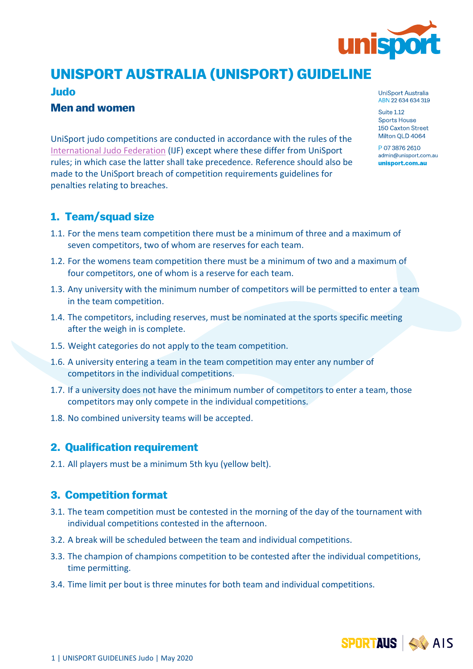

# *UNISPORT AUSTRALIA (UNISPORT) GUIDELINE*

#### *Judo*

#### *Men and women*

UniSport judo competitions are conducted in accordance with the rules of the [International Judo Federation](https://www.ijf.org/documents) (IJF) except where these differ from UniSport rules; in which case the latter shall take precedence. Reference should also be made to the UniSport breach of competition requirements guidelines for penalties relating to breaches.

### *1. Team/squad size*

- 1.1. For the mens team competition there must be a minimum of three and a maximum of seven competitors, two of whom are reserves for each team.
- 1.2. For the womens team competition there must be a minimum of two and a maximum of four competitors, one of whom is a reserve for each team.
- 1.3. Any university with the minimum number of competitors will be permitted to enter a team in the team competition.
- 1.4. The competitors, including reserves, must be nominated at the sports specific meeting after the weigh in is complete.
- 1.5. Weight categories do not apply to the team competition.
- 1.6. A university entering a team in the team competition may enter any number of competitors in the individual competitions.
- 1.7. If a university does not have the minimum number of competitors to enter a team, those competitors may only compete in the individual competitions.
- 1.8. No combined university teams will be accepted.

#### *2. Qualification requirement*

2.1. All players must be a minimum 5th kyu (yellow belt).

#### *3. Competition format*

- 3.1. The team competition must be contested in the morning of the day of the tournament with individual competitions contested in the afternoon.
- 3.2. A break will be scheduled between the team and individual competitions.
- 3.3. The champion of champions competition to be contested after the individual competitions, time permitting.
- 3.4. Time limit per bout is three minutes for both team and individual competitions.

UniSport Australia ABN 22 634 634 319

Suite 1.12 **Sports House** 150 Caxton Street Milton OLD 4064

P 07 3876 2610 admin@unisport.com.au unisport.com.au

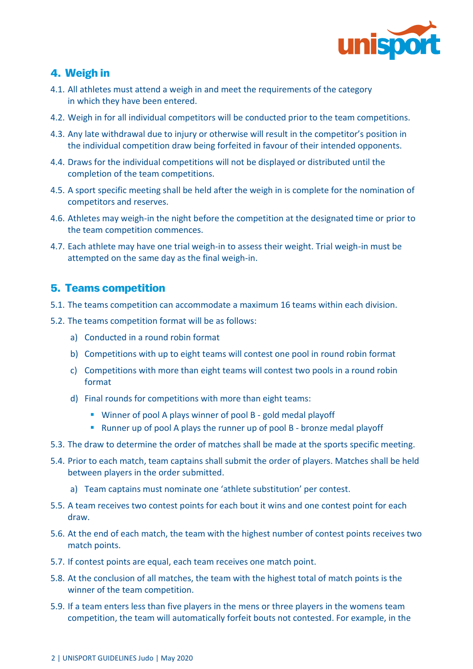

## *4. Weigh in*

- 4.1. All athletes must attend a weigh in and meet the requirements of the category in which they have been entered.
- 4.2. Weigh in for all individual competitors will be conducted prior to the team competitions.
- 4.3. Any late withdrawal due to injury or otherwise will result in the competitor's position in the individual competition draw being forfeited in favour of their intended opponents.
- 4.4. Draws for the individual competitions will not be displayed or distributed until the completion of the team competitions.
- 4.5. A sport specific meeting shall be held after the weigh in is complete for the nomination of competitors and reserves.
- 4.6. Athletes may weigh-in the night before the competition at the designated time or prior to the team competition commences.
- 4.7. Each athlete may have one trial weigh-in to assess their weight. Trial weigh-in must be attempted on the same day as the final weigh-in.

#### *5. Teams competition*

- 5.1. The teams competition can accommodate a maximum 16 teams within each division.
- 5.2. The teams competition format will be as follows:
	- a) Conducted in a round robin format
	- b) Competitions with up to eight teams will contest one pool in round robin format
	- c) Competitions with more than eight teams will contest two pools in a round robin format
	- d) Final rounds for competitions with more than eight teams:
		- Winner of pool A plays winner of pool B gold medal playoff
		- Runner up of pool A plays the runner up of pool B bronze medal playoff
- 5.3. The draw to determine the order of matches shall be made at the sports specific meeting.
- 5.4. Prior to each match, team captains shall submit the order of players. Matches shall be held between players in the order submitted.
	- a) Team captains must nominate one 'athlete substitution' per contest.
- 5.5. A team receives two contest points for each bout it wins and one contest point for each draw.
- 5.6. At the end of each match, the team with the highest number of contest points receives two match points.
- 5.7. If contest points are equal, each team receives one match point.
- 5.8. At the conclusion of all matches, the team with the highest total of match points is the winner of the team competition.
- 5.9. If a team enters less than five players in the mens or three players in the womens team competition, the team will automatically forfeit bouts not contested. For example, in the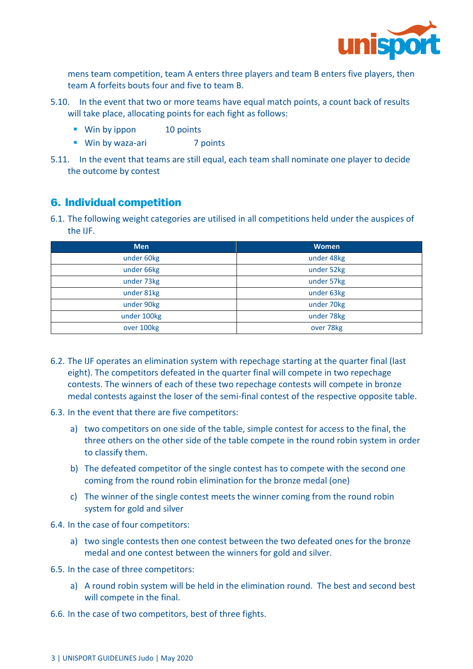

mens team competition, team A enters three players and team B enters five players, then team A forfeits bouts four and five to team B.

- 5.10. In the event that two or more teams have equal match points, a count back of results will take place, allocating points for each fight as follows:
	- Win by ippon 10 points
	- Win by waza-ari 7 points
- 5.11. In the event that teams are still equal, each team shall nominate one player to decide the outcome by contest

#### *6. Individual competition*

6.1. The following weight categories are utilised in all competitions held under the auspices of the IJF.

| <b>Men</b>  | <b>Women</b> |
|-------------|--------------|
| under 60kg  | under 48kg   |
| under 66kg  | under 52kg   |
| under 73kg  | under 57kg   |
| under 81kg  | under 63kg   |
| under 90kg  | under 70kg   |
| under 100kg | under 78kg   |
| over 100kg  | over 78kg    |

- 6.2. The IJF operates an elimination system with repechage starting at the quarter final (last eight). The competitors defeated in the quarter final will compete in two repechage contests. The winners of each of these two repechage contests will compete in bronze medal contests against the loser of the semi-final contest of the respective opposite table.
- 6.3. In the event that there are five competitors:
	- a) two competitors on one side of the table, simple contest for access to the final, the three others on the other side of the table compete in the round robin system in order to classify them.
	- b) The defeated competitor of the single contest has to compete with the second one coming from the round robin elimination for the bronze medal (one)
	- c) The winner of the single contest meets the winner coming from the round robin system for gold and silver

6.4. In the case of four competitors:

- a) two single contests then one contest between the two defeated ones for the bronze medal and one contest between the winners for gold and silver.
- 6.5. In the case of three competitors:
	- a) A round robin system will be held in the elimination round. The best and second best will compete in the final.
- 6.6. In the case of two competitors, best of three fights.